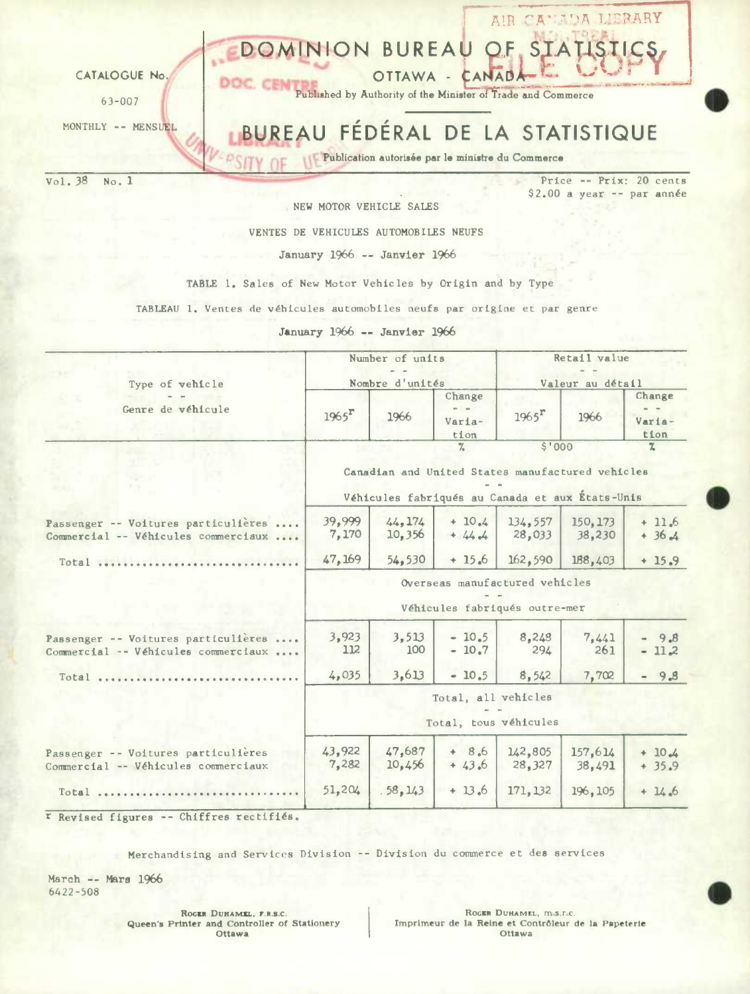

NEW MOTOR VEHICLE SALES

VENTES DE VEHICULES AUTOMOBILES NEUFS

January 1966 -- Janvier 1966

TABLE 1. Sales of New Motor Vehicles by Origin and by Type

TABLEAU 1. Ventes de véhicules automobiles neufs par origine et par genre

January 1966 -- Janvier 1966

| Type of vehicle                                                            |                                                                                                                                                  | Number of units<br>Nombre d'unités |                                     | Retail value<br>Valeur au détail                                |                    |                          |  |  |
|----------------------------------------------------------------------------|--------------------------------------------------------------------------------------------------------------------------------------------------|------------------------------------|-------------------------------------|-----------------------------------------------------------------|--------------------|--------------------------|--|--|
| Genre de véhicule                                                          | $1965$ <sup>r</sup>                                                                                                                              | 1966                               | Change<br>$=$ $=$<br>Varia-<br>tion | $1965$ <sup>r</sup>                                             | 1966               | Change<br>Varia-<br>tion |  |  |
|                                                                            | \$'000<br>$\frac{27}{10}$<br>$\mathbf{z}$<br>Canadian and United States manufactured vehicles<br>Véhicules fabriqués au Canada et aux États-Unis |                                    |                                     |                                                                 |                    |                          |  |  |
| Passenger -- Voitures particulières<br>Commercial -- Véhicules commerciaux | 39,999<br>7,170                                                                                                                                  | 44.174<br>10.356                   | $+10.4$<br>$+ 44.4$                 | 134,557<br>28,033                                               | 150, 173<br>38,230 | $+11.6$<br>$+36.4$       |  |  |
| Total                                                                      | 47, 169                                                                                                                                          | 54, 530                            | $+15.6$                             | 162,590                                                         | 188,403            | $+15.9$                  |  |  |
|                                                                            |                                                                                                                                                  |                                    |                                     | Overseas manufactured vehicles<br>Véhicules fabriqués outre-mer |                    |                          |  |  |
| Passenger -- Voitures particulières<br>Commercial -- Véhicules commerciaux | 3,923<br>112                                                                                                                                     | 3,513<br>100                       | $-10.5$<br>$-10.7$                  | 8,248<br>294                                                    | 7,441<br>261       | $-9.8$<br>$-11.2$        |  |  |
| $Total$                                                                    | 4,035                                                                                                                                            | 3,613                              | $-10.5$                             | 8,542                                                           | 7,702              | $-9.8$                   |  |  |
|                                                                            | Total, all vehicles<br>Total, tous véhicules                                                                                                     |                                    |                                     |                                                                 |                    |                          |  |  |
| Passenger -- Voitures particulières<br>Commercial -- Véhicules commerciaux | 43,922<br>7,282                                                                                                                                  | 47,687<br>10,456                   | $+ 8.6$<br>$+43.6$                  | 142,805<br>28,327                                               | 157,614<br>38,491  | $+10.4$<br>$+35.9$       |  |  |
| Total                                                                      | 51,204                                                                                                                                           | .58, 143                           | $+13.6$                             | 171, 132                                                        | 196, 105           | $+14.6$                  |  |  |

r Revised figures -- Chiffres rectifiés.

Merchandising and Services Division -- Division du commerce et des services

March -- Mars 1966 6422-508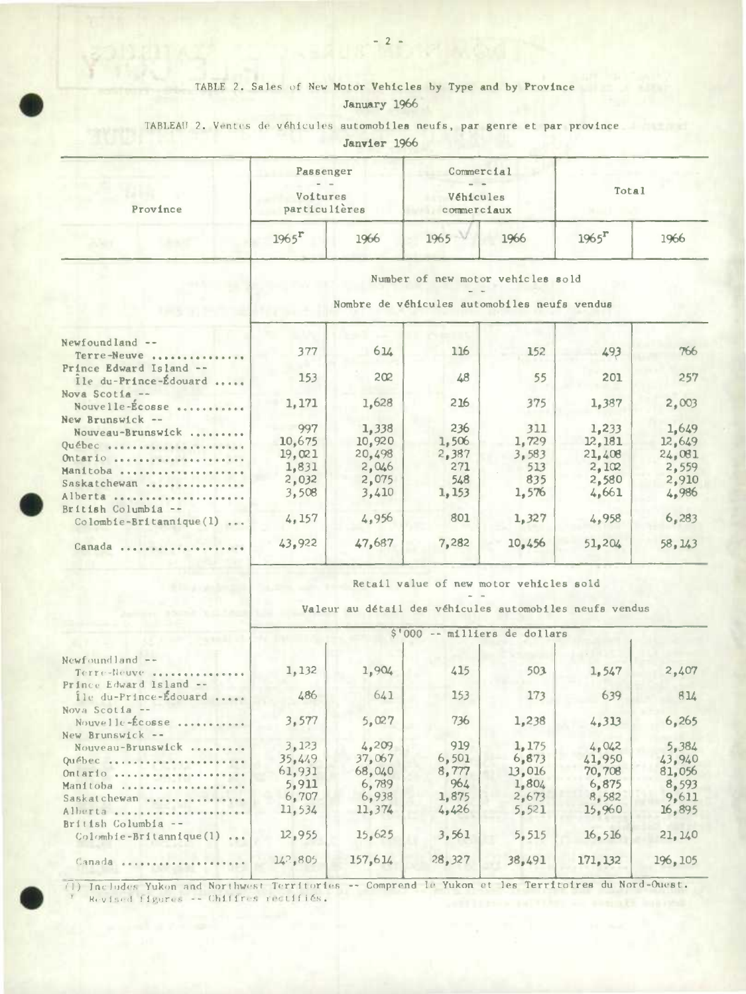## TABLE 2. Sales of New Motor Vehicles by Type and by Province January 1966

## TABLEAU 2. Ventes de véhicules automobiles neufs, par genre et par province

Janvier 1966

| Province | Passenger<br>$-$<br>Voitures<br>particulières |      | Commercial<br>Véhicules<br>commerciaux |      |                     | Total |  |  |
|----------|-----------------------------------------------|------|----------------------------------------|------|---------------------|-------|--|--|
|          | $1965$ <sup>r</sup>                           | 1966 | 1965                                   | 1966 | $1965$ <sup>r</sup> | 1966  |  |  |

Number of new motor vehicles sold

Nombre de véhicules automobiles neufa vendus

| Newfoundland --<br>Terre-Neuve                                                                     | 377                                                | 614                                                  | 116                                           | 152                                          | 493                                                  | 766                                                  |
|----------------------------------------------------------------------------------------------------|----------------------------------------------------|------------------------------------------------------|-----------------------------------------------|----------------------------------------------|------------------------------------------------------|------------------------------------------------------|
| Prince Edward Island --<br>Ile du-Prince-Édouard                                                   | 153                                                | 202                                                  | 48                                            | 55                                           | 201                                                  | 257                                                  |
| Nova Scotia --<br>Nouvelle-Écosse                                                                  | 1,171                                              | 1,628                                                | 216                                           | 375                                          | 1,387                                                | 2,003                                                |
| New Brunswick $-$<br>Nouveau-Brunswick<br>Québec<br>Ontario<br>Manitoba<br>Saskatchewan<br>Alberta | 997<br>10,675<br>19,021<br>1,831<br>2,032<br>3,508 | 1,338<br>10.920<br>20,498<br>2,046<br>2,075<br>3,410 | 236<br>1,506<br>2,387<br>271<br>548<br>1, 153 | 311<br>1,729<br>3,583<br>513<br>835<br>1,576 | 1,233<br>12,181<br>21,408<br>2,102<br>2,580<br>4,661 | 1,649<br>12,649<br>24,081<br>2,559<br>2,910<br>4,986 |
| $British$ Columbia --<br>$Colomb1e-Br1tann1que(1)$<br>                                             | 4,157                                              | 4,956                                                | 801                                           | 1,327                                        | 4,958                                                | 6,283                                                |
| .<br>Canada                                                                                        | 43,922                                             | 47,687                                               | 7,282                                         | 10,456                                       | 51.204                                               | 58,143                                               |
|                                                                                                    |                                                    |                                                      |                                               |                                              |                                                      |                                                      |

Retail value of new motor vehicles sold

Valeur au detail des véhicules automobiles neufa vendus

|                                                                               | \$'000 -- milliers de dollars                          |                                                       |                                                |                                                     |                                                       |                                                       |  |  |  |
|-------------------------------------------------------------------------------|--------------------------------------------------------|-------------------------------------------------------|------------------------------------------------|-----------------------------------------------------|-------------------------------------------------------|-------------------------------------------------------|--|--|--|
| Newfoundland $--$<br>Terre-Neuve<br>Prince Edward Island --                   | 1,132                                                  | 1,904                                                 | 415                                            | 503                                                 | 1.547                                                 | 2,407                                                 |  |  |  |
| ile du-Prince-Édouard                                                         | 486                                                    | 641                                                   | 153                                            | 173                                                 | 639                                                   | 814                                                   |  |  |  |
| Nova Scotia --<br>Nouvelle-Ecosse<br>New Brunswick --                         | 3,577                                                  | 5,027                                                 | 736                                            | 1,238                                               | 4,313                                                 | 6,265                                                 |  |  |  |
| Nouveau-Brunswick<br>Québec<br>Ontario<br>Manitoba<br>Saskatchewan<br>Alberta | 3, 123<br>35.449<br>61,931<br>5,911<br>6,707<br>11,534 | 4,209<br>37,067<br>68,040<br>6,789<br>6,938<br>11,374 | 919<br>6,501<br>8,777<br>964<br>1,875<br>4,426 | 1.175<br>6,873<br>13,016<br>1,804<br>2,673<br>5.521 | 4.042<br>41.950<br>70,708<br>6,875<br>B.582<br>15.960 | 5,384<br>43.940<br>81,056<br>8.593<br>9,611<br>16,895 |  |  |  |
| $British$ Columbia --<br>$Colombie-Britannique(1)$<br>$\cdots$                | 12,955                                                 | 15,625                                                | 3,561                                          | 5,515                                               | 16, 516                                               | 21, 140                                               |  |  |  |
| Canada                                                                        | 14.2, 805                                              | 157.614                                               | 28,327                                         | 38,491                                              | 171, 132                                              | 196.105                                               |  |  |  |

(1) Includes Yukon and Northwest Territories -- Comprend le Yukon et les Territoires du Nord-Ouest. Revised figures -- Chiffres rectifiés.

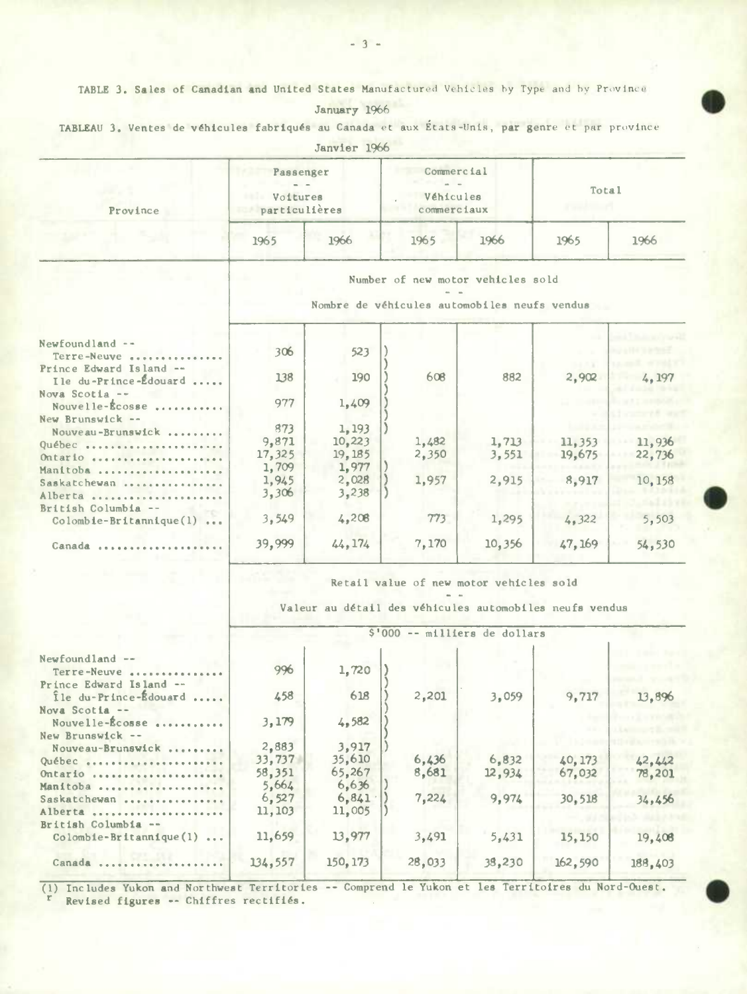TABLE 3. Sales of Canadian and United States Manufactured Vehicles by Type and by Province

| January | 1966 |
|---------|------|
|         |      |

| TABLEAU 3. Ventes de véhicules fabriqués au Canada et aux Etats-Unis, par genre et par province |  |
|-------------------------------------------------------------------------------------------------|--|
|-------------------------------------------------------------------------------------------------|--|

|                                                                    |                                                                                   | Janvier 1966 |                                                                                                    |        |         |        |  |  |  |  |
|--------------------------------------------------------------------|-----------------------------------------------------------------------------------|--------------|----------------------------------------------------------------------------------------------------|--------|---------|--------|--|--|--|--|
| Province                                                           | Passenger<br>Voitures<br>particulières                                            |              | Commercial<br>Véhicules<br>commerciaux                                                             |        | Total   |        |  |  |  |  |
|                                                                    | 1965                                                                              | 1966         | 1965                                                                                               | 1966   | 1965    | 1966   |  |  |  |  |
|                                                                    | Number of new motor vehicles sold<br>Nombre de véhicules automobiles neufs vendus |              |                                                                                                    |        |         |        |  |  |  |  |
|                                                                    |                                                                                   |              |                                                                                                    |        |         |        |  |  |  |  |
| Newfoundland --<br>Terre-Neuve                                     | 306                                                                               | 523          |                                                                                                    |        |         |        |  |  |  |  |
| Prince Edward Island --<br>Ile du-Prince-Édouard<br>Nova Scotia -- | 138                                                                               | 190          | 608                                                                                                | 882    | 2,902   | 4.197  |  |  |  |  |
| Nouvelle-Écosse<br>New Brunswick --                                | 977                                                                               | 1,409        |                                                                                                    |        |         |        |  |  |  |  |
| Nouveau-Brunswick                                                  | 873                                                                               | 1, 193       |                                                                                                    |        |         |        |  |  |  |  |
| Québec                                                             | 9,871                                                                             | 10,223       | 1,482                                                                                              | 1,713  | 11,353  | 11,936 |  |  |  |  |
| Ontario                                                            | 17,325                                                                            | 19,185       | 2,350                                                                                              | 3,551  | 19,675  | 22,736 |  |  |  |  |
| Manitoba                                                           | 1,709                                                                             | 1,977        |                                                                                                    |        |         |        |  |  |  |  |
| Saskatchewan                                                       | 1,945                                                                             | 2,028        | 1,957                                                                                              | 2,915  | 8,917   | 10,158 |  |  |  |  |
| Alberta                                                            | 3,306                                                                             | 3,238        |                                                                                                    |        |         |        |  |  |  |  |
| British Columbia --                                                |                                                                                   |              |                                                                                                    |        |         |        |  |  |  |  |
| $Colomb1e-Br1tann1que(1) $                                         | 3,549                                                                             | 4,208        | 773                                                                                                | 1,295  | 4,322   | 5,503  |  |  |  |  |
| Canada                                                             | 39,999                                                                            | 44, 174      | 7,170                                                                                              | 10,356 | 47, 169 | 54,530 |  |  |  |  |
|                                                                    |                                                                                   |              | Retail value of new motor vehicles sold<br>Valeur au détail des véhicules automobiles neufs vendus |        |         |        |  |  |  |  |
|                                                                    |                                                                                   |              | \$'000 -- milliers de dollars                                                                      |        |         |        |  |  |  |  |
|                                                                    |                                                                                   |              |                                                                                                    |        |         |        |  |  |  |  |
| Newfoundland --<br>Terre-Neuve                                     | 996                                                                               | 1,720        |                                                                                                    |        |         |        |  |  |  |  |
| Prince Edward Island --<br>Île du-Prince-Édouard<br>Nova Scotia -- | 458                                                                               | 618          | 2,201                                                                                              | 3,059  | 9,717   | 13,896 |  |  |  |  |
| Nouvelle-Écosse<br>New Brunswick --                                | 3,179                                                                             | 4,582        |                                                                                                    |        |         |        |  |  |  |  |
| Nouveau-Brunswick<br>                                              | 2,883                                                                             | 3,917        |                                                                                                    |        |         |        |  |  |  |  |
| Québec                                                             | 33,737                                                                            | 35,610       | 6,436                                                                                              | 6,832  | 40, 173 | 42,442 |  |  |  |  |
| Ontario                                                            | 58,351                                                                            | 65,267       | 8,681                                                                                              | 12,934 | 67,032  | 78,201 |  |  |  |  |
| Manitoba                                                           | 5,664                                                                             | 6,636        |                                                                                                    |        |         |        |  |  |  |  |
| Saskatchewan                                                       | 6,527                                                                             | 6,841        | 7,224                                                                                              | 9,974  | 30,518  | 34,456 |  |  |  |  |
| Alberta                                                            | 11, 103                                                                           | 11,005       |                                                                                                    |        |         |        |  |  |  |  |
| British Columbia --                                                |                                                                                   |              |                                                                                                    |        |         |        |  |  |  |  |
| Colombie-Britannique(1)                                            | 11,659                                                                            | 13,977       | 3,491                                                                                              | 5,431  | 15,150  | 19,408 |  |  |  |  |
|                                                                    |                                                                                   |              |                                                                                                    |        |         |        |  |  |  |  |

(1) Includes Yukon and Northwest Territories -- Comprend le Yukon et les Territoires du Nord-Ouest. Revised figures -- Chiffres rectifiés.

150, 173

28,033

38,230

162,590

188,403

134,557

 $\cdots$ 

Canada ........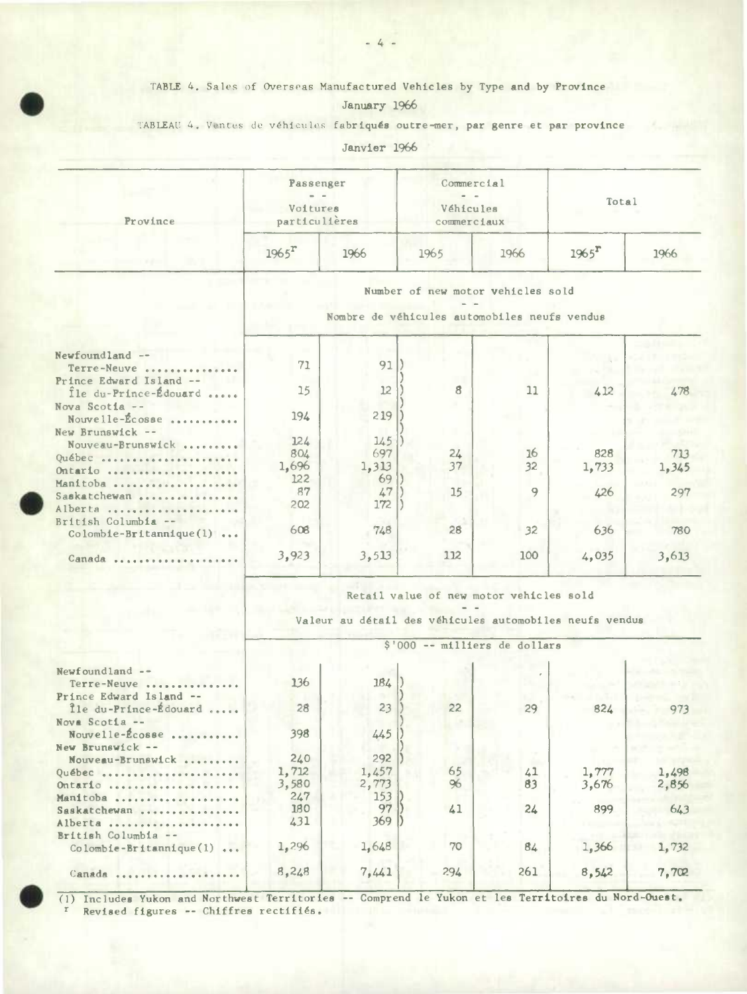## TABLE 4. Sales of Overseas Manufactured Vehicles by Type and by Province January 1966

TABLEAU 4. Ventes de véhicules fabriqués outre-mer, par genre et par province

Janvier 1966

| Province                   | Passenger<br>Voitures<br>particulières |                                                         | Commercial<br>Véhicules<br>commerciaux       |      | Total    |       |  |  |  |  |
|----------------------------|----------------------------------------|---------------------------------------------------------|----------------------------------------------|------|----------|-------|--|--|--|--|
|                            | $1965$ <sup>r</sup>                    | 1966                                                    | 1965                                         | 1966 | $1965^T$ | 1966  |  |  |  |  |
|                            | Number of new motor vehicles sold      |                                                         |                                              |      |          |       |  |  |  |  |
|                            |                                        |                                                         | Nombre de véhicules automobiles neufs vendus |      |          |       |  |  |  |  |
| Newfoundland --            |                                        |                                                         |                                              |      |          |       |  |  |  |  |
| Terre-Neuve                | 71                                     | 91                                                      |                                              |      |          |       |  |  |  |  |
| Prince Edward Island --    |                                        |                                                         |                                              |      |          |       |  |  |  |  |
| Île du-Prince-Édouard      | 15                                     | 12                                                      | 8                                            | 11   | 412      | 478   |  |  |  |  |
| Nova Scotia --             |                                        |                                                         |                                              |      |          |       |  |  |  |  |
| Nouvelle-Écosse            | 194                                    | 219                                                     |                                              |      |          |       |  |  |  |  |
| New Brunswick --           |                                        |                                                         |                                              |      |          |       |  |  |  |  |
| Nouveau-Brunswick          | 124                                    | 145                                                     |                                              |      |          |       |  |  |  |  |
| Québec                     | 804                                    | 697                                                     | 24                                           | 16   | 828      | 713   |  |  |  |  |
| Ontario                    | 1,696                                  | 1,313                                                   | 37                                           | 32   | 1,733    | 1,345 |  |  |  |  |
| Manitoba                   | 122                                    | 69                                                      |                                              |      |          |       |  |  |  |  |
| Saskatchewan               | 87                                     | 47                                                      | 15                                           | 9    | 426      | 297   |  |  |  |  |
| Alberta                    | 202                                    | 172                                                     |                                              |      |          |       |  |  |  |  |
| British Columbia --        |                                        |                                                         |                                              |      |          |       |  |  |  |  |
| $Colomb1e-Br1tann1que(1) $ | 608                                    | 748                                                     | 28                                           | 32   | 636      | 780   |  |  |  |  |
|                            |                                        |                                                         |                                              |      |          |       |  |  |  |  |
| Canada                     | 3,923                                  | 3,513                                                   | 112                                          | 100  | 4,035    | 3,613 |  |  |  |  |
|                            |                                        |                                                         | Retail value of new motor vehicles sold      |      |          |       |  |  |  |  |
|                            |                                        | Valeur au détail des véhicules automobiles neufs vendus |                                              |      |          |       |  |  |  |  |
|                            |                                        |                                                         | \$'000 -- milliers de dollars                |      |          |       |  |  |  |  |
| Newfoundland --            |                                        |                                                         |                                              |      |          |       |  |  |  |  |
| Terre-Neuve                | 136                                    | 184                                                     |                                              |      |          |       |  |  |  |  |
| Prince Edward Island --    |                                        |                                                         |                                              |      |          |       |  |  |  |  |
| Île du-Prince-Édouard      | 28                                     | 23                                                      | 22                                           | 29   | 824      | 973   |  |  |  |  |
| Nova Scotia --             |                                        |                                                         |                                              |      |          |       |  |  |  |  |
| Nouvelle-Écosse            | 398                                    | 445                                                     |                                              |      |          |       |  |  |  |  |
| New Brunswick --           |                                        |                                                         |                                              |      |          |       |  |  |  |  |
| Nouveau-Brunswick          | 240                                    | 292                                                     |                                              |      |          |       |  |  |  |  |
| Québec                     | 1,712                                  | 1,457                                                   | 65                                           | 41   | 1,777    | 1,498 |  |  |  |  |
| Ontario                    | 3,580                                  | 2,773                                                   | 96                                           | 83   | 3,676    | 2,856 |  |  |  |  |
| Manitoba                   | 247                                    | 153                                                     |                                              |      |          |       |  |  |  |  |
| Saskatchewan               | 180                                    | 97                                                      | 41                                           | 24   | 899      | 643   |  |  |  |  |
| Alberta                    | 431                                    | 369                                                     |                                              |      |          |       |  |  |  |  |
| British Columbia --        |                                        |                                                         |                                              |      |          |       |  |  |  |  |
| Colombie-Britannique(1)    | 1,296                                  | 1,648                                                   | 70                                           | 84   | 1,366    | 1,732 |  |  |  |  |
|                            |                                        |                                                         |                                              |      |          |       |  |  |  |  |
| Canada                     | 8,248                                  | 7,441                                                   | 294                                          | 261  | 8,542    | 7,702 |  |  |  |  |

(1) Includes Yukon and Northwest Territories -- Comprend le Yukon et les Territoires du Nord-Ouest. <sup>r</sup> Revised figures -- Chiffres rectifiés.

Canada ......................

 $7,441$ 

 $7,702$ 

 $-4-$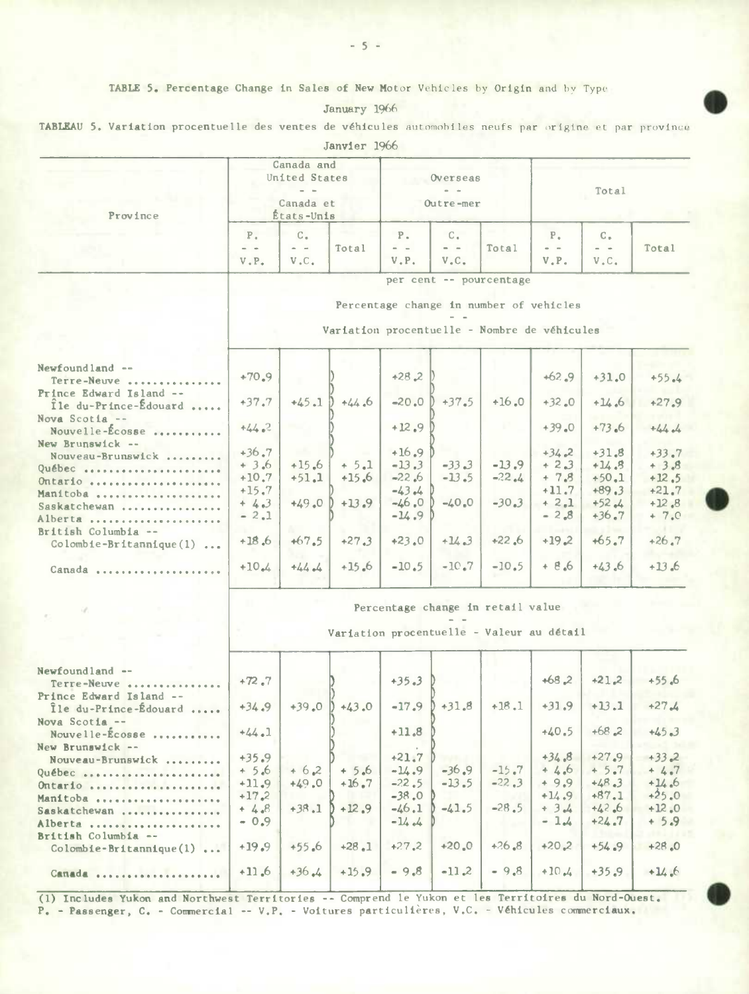TABLE 5. Percentage Change in Sales of New Motor Vehicles by Origin and by Type

| 1966<br>January |
|-----------------|
|-----------------|

TABLEAU 5. Variation procentuelle des ventes de véhicules automobiles neufs par origine et par province

|                                                           | Canada and<br>United States<br>$ -$<br>Canada et<br>États-Unis |                                                                                         |                 | Overseas<br>Outre-mer                     |                                             |                                           | Total                                                                   |                                                                                                                                                                                                                                                                                                                                                                                                                                           |                    |  |  |
|-----------------------------------------------------------|----------------------------------------------------------------|-----------------------------------------------------------------------------------------|-----------------|-------------------------------------------|---------------------------------------------|-------------------------------------------|-------------------------------------------------------------------------|-------------------------------------------------------------------------------------------------------------------------------------------------------------------------------------------------------------------------------------------------------------------------------------------------------------------------------------------------------------------------------------------------------------------------------------------|--------------------|--|--|
| Province                                                  |                                                                |                                                                                         |                 |                                           |                                             |                                           |                                                                         |                                                                                                                                                                                                                                                                                                                                                                                                                                           |                    |  |  |
|                                                           | $P_{\alpha}$<br>$=$ $-$<br>$V$ . $P$ .                         | $C_{\bullet}$<br>$\qquad \qquad \blacksquare$<br>V.C.                                   | Total           | $P_{\star}$<br>$\qquad \qquad -$<br>V, P. | $\mathbb{C}$ .<br>$\qquad \qquad -$<br>V.C. | Total                                     | $P_{\alpha}$<br>$\frac{1}{2} \left( \frac{1}{2} \right)$<br>$V$ . $P$ . | $C_{\alpha}$<br>$\qquad \qquad \  \  \, -\quad \  \  \, -\quad \  \  \, -\quad \  \  \, -\quad \  \  \, -\quad \  \  \, -\quad \  \  \, -\quad \  \  \, -\quad \  \  \, -\quad \  \  \, -\quad \  \  \, -\quad \  \  \, -\quad \  \  \, -\quad \  \  \, -\quad \  \  \, -\quad \  \  \, -\quad \  \, -\quad \  \, -\quad \  \, -\quad \  \, -\quad \  \, -\quad \  \, -\quad \  \, -\quad \  \, -\quad \  \, -\quad \  \, -\quad$<br>V.C. | Total              |  |  |
|                                                           |                                                                | per cent -- pourcentage                                                                 |                 |                                           |                                             |                                           |                                                                         |                                                                                                                                                                                                                                                                                                                                                                                                                                           |                    |  |  |
|                                                           |                                                                | Percentage change in number of vehicles<br>Variation procentuelle - Nombre de véhicules |                 |                                           |                                             |                                           |                                                                         |                                                                                                                                                                                                                                                                                                                                                                                                                                           |                    |  |  |
|                                                           |                                                                |                                                                                         |                 |                                           |                                             |                                           |                                                                         |                                                                                                                                                                                                                                                                                                                                                                                                                                           |                    |  |  |
| Newfoundland --<br>Terre-Neuve<br>Prince Edward Island -- | $+70.9$                                                        |                                                                                         |                 | $+28,2$                                   |                                             |                                           | $+62.9$                                                                 | $+31.0$                                                                                                                                                                                                                                                                                                                                                                                                                                   | $+55.4$            |  |  |
| Ile du-Prince-Edouard<br>Nova Scotia --                   | $+37.7$                                                        | $+45.1)$                                                                                | $+44.6$         | $-20.0$                                   | $+37.5$                                     | $+16.0$                                   | $+32.0$                                                                 | $+14.6$                                                                                                                                                                                                                                                                                                                                                                                                                                   | $+27.9$            |  |  |
| Nouvelle- $\mathbf{E}$ cosse<br>New Brunswick --          | $+44.2$                                                        |                                                                                         |                 | $+12.9$                                   |                                             |                                           | $+39.0$                                                                 | $+73.6$                                                                                                                                                                                                                                                                                                                                                                                                                                   | $+44.4$            |  |  |
| Nouveau-Brunswick                                         | $+36.7$                                                        | an Ki                                                                                   |                 | $+16.9$                                   |                                             |                                           | $+34.2$                                                                 | $+31.8$                                                                                                                                                                                                                                                                                                                                                                                                                                   | $+33.7$            |  |  |
| Québec                                                    | $+3.6$                                                         | $+15.6$                                                                                 | $+5.1$          | $-13.3$                                   | $-33.3$                                     | $-13.9$                                   | $+2.3$                                                                  | $+14.3$                                                                                                                                                                                                                                                                                                                                                                                                                                   | $+3.8$             |  |  |
| Ontario                                                   | $+10.7$<br>$+15.7$                                             | $+51.1$                                                                                 | $+15.6$         | $-22.6$<br>$-43.4$                        | $-13.5$                                     | $-22.4$                                   | $+ 7.8$<br>$+11.7$                                                      | $+50.1$<br>$+89.3$                                                                                                                                                                                                                                                                                                                                                                                                                        | $+12.5$<br>$+21.7$ |  |  |
| Manitoba<br>Saskatchewan                                  | $+4.3$                                                         | $+49.0$                                                                                 | $+13.9$         | $-46.0$                                   | $-40.0$                                     | $-30.3$                                   | $+2.1$                                                                  | $+52.4$                                                                                                                                                                                                                                                                                                                                                                                                                                   | $+12,8$            |  |  |
| Alberta                                                   | $-2.1$                                                         |                                                                                         |                 | $-14.9$                                   |                                             |                                           | $-2.8$                                                                  | $+36.7$                                                                                                                                                                                                                                                                                                                                                                                                                                   | $+ 7.0$            |  |  |
| British Columbia --<br>Colombie-Britannique(1)            | $+18.6$                                                        | $+67.5$                                                                                 | $+27.3$         | $+23.0$                                   | $+14.3$                                     | $+22.6$                                   | $+19.2$                                                                 | $+65.7$                                                                                                                                                                                                                                                                                                                                                                                                                                   | $+26.7$            |  |  |
| Canada                                                    | $+10.4$                                                        | $+44$                                                                                   | $+15.6$         | $-10.5$                                   | $-10.7$                                     | $-10.5$                                   | $+8.6$                                                                  | $+43.6$                                                                                                                                                                                                                                                                                                                                                                                                                                   | $+13.6$            |  |  |
|                                                           |                                                                |                                                                                         |                 |                                           |                                             | Percentage change in retail value         |                                                                         |                                                                                                                                                                                                                                                                                                                                                                                                                                           |                    |  |  |
|                                                           |                                                                |                                                                                         |                 |                                           |                                             | Variation procentuelle - Valeur au détail |                                                                         |                                                                                                                                                                                                                                                                                                                                                                                                                                           |                    |  |  |
|                                                           |                                                                |                                                                                         |                 |                                           |                                             |                                           |                                                                         |                                                                                                                                                                                                                                                                                                                                                                                                                                           |                    |  |  |
| Newfoundland --<br>Terre-Neuve<br>Prince Edward Island -- | $+72.7$                                                        |                                                                                         |                 | $+35.3$                                   |                                             |                                           | $+68.2$                                                                 | $+21.2$                                                                                                                                                                                                                                                                                                                                                                                                                                   | $+55.6$            |  |  |
| Ile du-Prince-Édouard<br>Nova Scotia --                   | $+34.9$                                                        |                                                                                         | $+39.0$ $+43.0$ | $-17.9$                                   | $+31.8$                                     | $+18.1$                                   | $+31.9$                                                                 | $+13.1$                                                                                                                                                                                                                                                                                                                                                                                                                                   | $+27.4$            |  |  |
| Nouvelle- $\&$ cosse<br>New Brunswick --                  | $+44.1$                                                        |                                                                                         |                 | $+11.8$                                   |                                             |                                           | $+40.5$                                                                 | $+68.2$                                                                                                                                                                                                                                                                                                                                                                                                                                   | $+45.3$            |  |  |
| Nouveau-Brunswick                                         | $+35.9$                                                        |                                                                                         |                 | $+21.7$                                   |                                             |                                           | $+34.8$                                                                 | $+27.9$                                                                                                                                                                                                                                                                                                                                                                                                                                   | $+33.2$            |  |  |
| Québec                                                    | $+ 5.6$                                                        | $+6.2$                                                                                  | $+5.6$          | $-14.9$                                   | $-36.9$                                     | $-15.7$                                   | $+4.6$                                                                  | $+5.7$                                                                                                                                                                                                                                                                                                                                                                                                                                    | $+4.7$             |  |  |
| Ontario                                                   | $+11.9$                                                        | $+49.0$                                                                                 | $+16.7$         | $-22.5$                                   | $-13.5$                                     | $-22,3$                                   | $+9.9$                                                                  | $+48.3$                                                                                                                                                                                                                                                                                                                                                                                                                                   | $+14.6$            |  |  |
| Manitoba                                                  | $+17.2$                                                        |                                                                                         |                 | $-38.0$                                   |                                             | $-28.5$                                   | $+14.9$<br>$+34$                                                        | $+87.1$                                                                                                                                                                                                                                                                                                                                                                                                                                   | $+25.0$            |  |  |
| Saskatchewan<br>Alberta                                   | $+4.8$<br>$-0.9$                                               | $+38.1$                                                                                 | $+12.9$         | $-46.1$<br>$-14.4$                        | $-41.5$                                     |                                           | $-1.4$                                                                  | $+42,6$<br>$+24.7$                                                                                                                                                                                                                                                                                                                                                                                                                        | $+12.0$<br>$+ 5.9$ |  |  |
| British Columbia --<br>$Colomb1e-Br1tann1que(1) $         | $+19.9$                                                        | $+55.6$                                                                                 | $+28.1$         | $+27.2$                                   | $+20.0$                                     | $+26.8$                                   | $+20,2$                                                                 | $+54.9$                                                                                                                                                                                                                                                                                                                                                                                                                                   | $+28.0$            |  |  |
| Canada                                                    | $+11.6$                                                        | $+36.4$                                                                                 | $+15.9$         | $-9.8$                                    | $-11.2$                                     | $-9.8$                                    | $+10.4$                                                                 | $+35.9$                                                                                                                                                                                                                                                                                                                                                                                                                                   | $+14.6$            |  |  |
|                                                           |                                                                |                                                                                         |                 |                                           |                                             |                                           |                                                                         |                                                                                                                                                                                                                                                                                                                                                                                                                                           |                    |  |  |

(1) Includes Yukon and Northwest Territories -- Comprend le Yukon et les Territoires du Nord-Ouest. P. - Passenger, C. - Commercial -- V.P. - Voitures particulières, V.C. - Véhicules commerciaux.